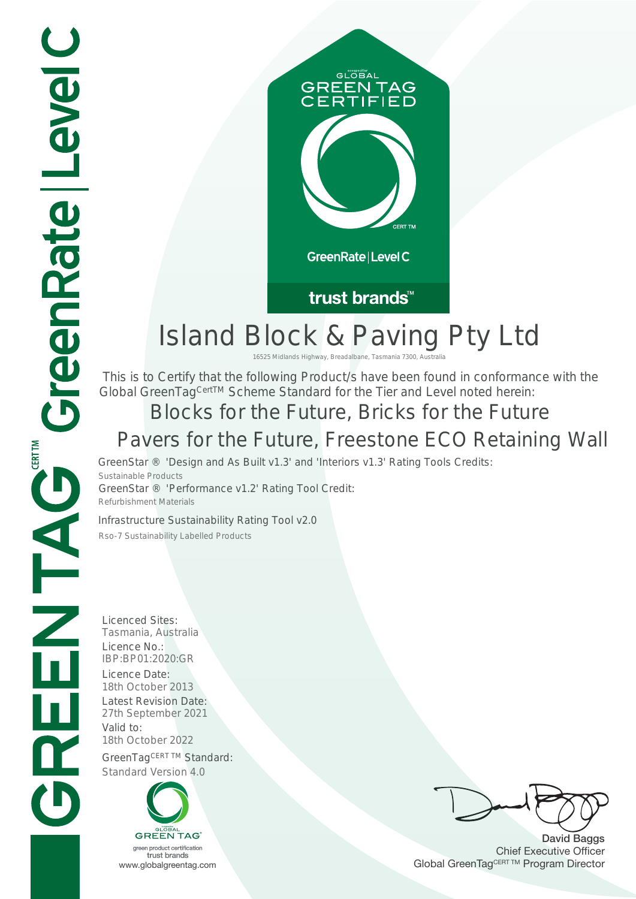

## trust brands<sup>™</sup>

# Island Block & Paving Pty Ltd

16525 Midlands Highway, Breadalbane, Tasmania 7300, A

 This is to Certify that the following Product/s have been found in conformance with the Global GreenTag<sup>CertTM</sup> Scheme Standard for the Tier and Level noted herein:

# Blocks for the Future, Bricks for the Future

GreenStar ® 'Design and As Built v1.3' and 'Interiors v1.3' Rating Tools Credits: Sustainable Products GreenStar ® 'Performance v1.2' Rating Tool Credit: **Pavers for the Future, Freestone ECO Retaining Wall**<br>GreenStar ® 'Design and As Built v1.3' and 'Interiors v1.3' Rating Tools Credits:<br>Sustainable Products<br>GreenStar ® 'Performance v1.2' Rating Tool Credit:<br>Refurbishment

Infrastructure Sustainability Rating Tool v2.0

Refurbishment Materials

Licenced Sites: Tasmania, Australia Licence No.: IBP:BP01:2020:GR Licence Date:<br>18th October 2013 Latest Revision Date: 27th September 2021 Valid to: 18th October 2022 GreenTagCERT TM Standard: Standard Version 4.0



David Baggs Chief Executive Officer WWW.globalgreentag.com Web States and Changes and Changes and Changes and Changes and Changes and Changes and Changes and Changes and Changes and Changes and Changes and Changes and Changes and Changes and Changes and Chan